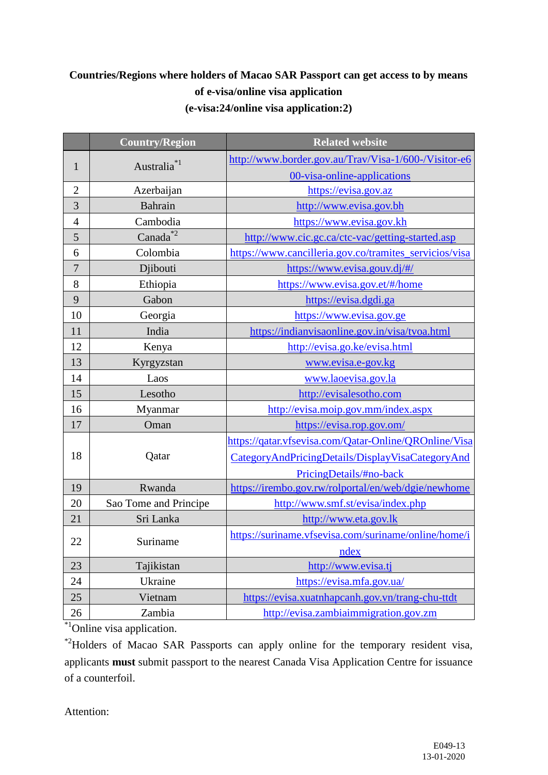## **Countries/Regions where holders of Macao SAR Passport can get access to by means of e-visa/online visa application (e-visa:24/online visa application:2)**

| <b>Country/Region</b>        | <b>Related website</b>                                 |
|------------------------------|--------------------------------------------------------|
| Australia <sup>*1</sup>      | http://www.border.gov.au/Trav/Visa-1/600-/Visitor-e6   |
| $\mathbf{1}$                 | 00-visa-online-applications                            |
| $\overline{2}$<br>Azerbaijan | https://evisa.gov.az                                   |
| 3<br>Bahrain                 | http://www.evisa.gov.bh                                |
| Cambodia<br>$\overline{4}$   | https://www.evisa.gov.kh                               |
| Canada <sup>*2</sup><br>5    | http://www.cic.gc.ca/ctc-vac/getting-started.asp       |
| Colombia<br>6                | https://www.cancilleria.gov.co/tramites_servicios/visa |
| $\overline{7}$<br>Djibouti   | https://www.evisa.gouv.dj/#/                           |
| 8<br>Ethiopia                | https://www.evisa.gov.et/#/home                        |
| 9<br>Gabon                   | https://evisa.dgdi.ga                                  |
| 10<br>Georgia                | https://www.evisa.gov.ge                               |
| 11<br>India                  | https://indianvisaonline.gov.in/visa/tvoa.html         |
| 12<br>Kenya                  | http://evisa.go.ke/evisa.html                          |
| 13<br>Kyrgyzstan             | www.evisa.e-gov.kg                                     |
| 14<br>Laos                   | www.laoevisa.gov.la                                    |
| 15<br>Lesotho                | http://evisalesotho.com                                |
| 16<br>Myanmar                | http://evisa.moip.gov.mm/index.aspx                    |
| 17<br>Oman                   | https://evisa.rop.gov.om/                              |
|                              | https://qatar.vfsevisa.com/Qatar-Online/QROnline/Visa  |
| 18<br>Qatar                  | CategoryAndPricingDetails/DisplayVisaCategoryAnd       |
|                              | PricingDetails/#no-back                                |
| Rwanda<br>19                 | https://irembo.gov.rw/rolportal/en/web/dgie/newhome    |
| 20<br>Sao Tome and Principe  | http://www.smf.st/evisa/index.php                      |
| 21<br>Sri Lanka              | http://www.eta.gov.lk                                  |
| 22<br>Suriname               | https://suriname.vfsevisa.com/suriname/online/home/i   |
|                              | ndex                                                   |
| 23<br>Tajikistan             | http://www.evisa.tj                                    |
| 24<br>Ukraine                | https://evisa.mfa.gov.ua/                              |
| 25<br>Vietnam                | https://evisa.xuatnhapcanh.gov.vn/trang-chu-ttdt       |
| Zambia<br>26                 | http://evisa.zambiaimmigration.gov.zm                  |

<sup>\*1</sup>Online visa application.

\*2Holders of Macao SAR Passports can apply online for the temporary resident visa, applicants **must** submit passport to the nearest Canada Visa Application Centre for issuance of a counterfoil.

Attention: